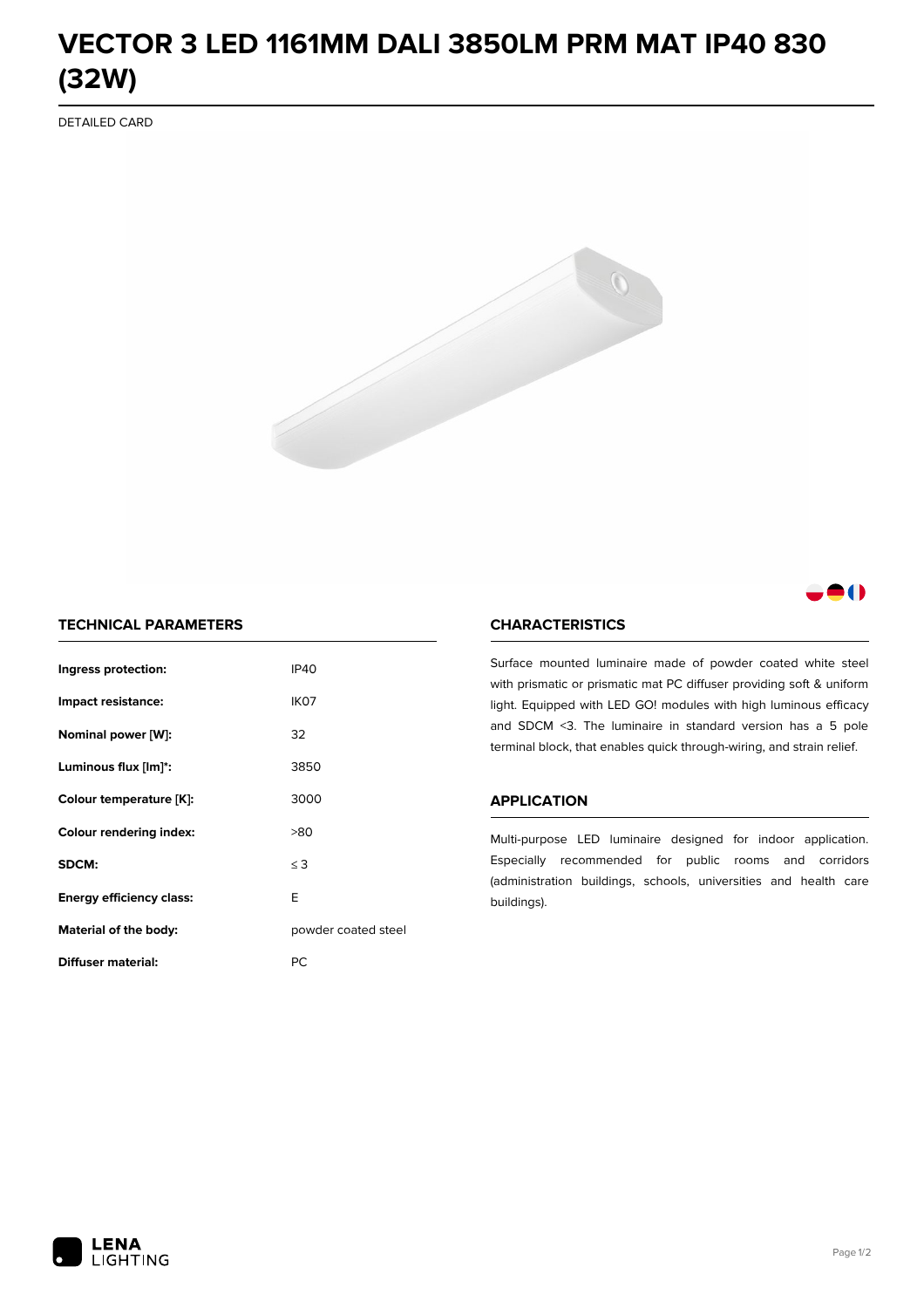# **VECTOR 3 LED 1161MM DALI 3850LM PRM MAT IP40 830 (32W)**

DETAILED CARD



# 80

## **TECHNICAL PARAMETERS**

| Ingress protection:             | <b>IP40</b>         |  |
|---------------------------------|---------------------|--|
| Impact resistance:              | IK <sub>07</sub>    |  |
| Nominal power [W]:              | 32                  |  |
| Luminous flux [lm]*:            | 3850                |  |
| Colour temperature [K]:         | 3000                |  |
| <b>Colour rendering index:</b>  | >80                 |  |
| SDCM:                           | $\leq$ 3            |  |
| <b>Energy efficiency class:</b> | E                   |  |
| Material of the body:           | powder coated steel |  |
| Diffuser material:              | РC                  |  |

### **CHARACTERISTICS**

Surface mounted luminaire made of powder coated white steel with prismatic or prismatic mat PC diffuser providing soft & uniform light. Equipped with LED GO! modules with high luminous efficacy and SDCM <3. The luminaire in standard version has a 5 pole terminal block, that enables quick through-wiring, and strain relief.

#### **APPLICATION**

Multi-purpose LED luminaire designed for indoor application. Especially recommended for public rooms and corridors (administration buildings, schools, universities and health care buildings).